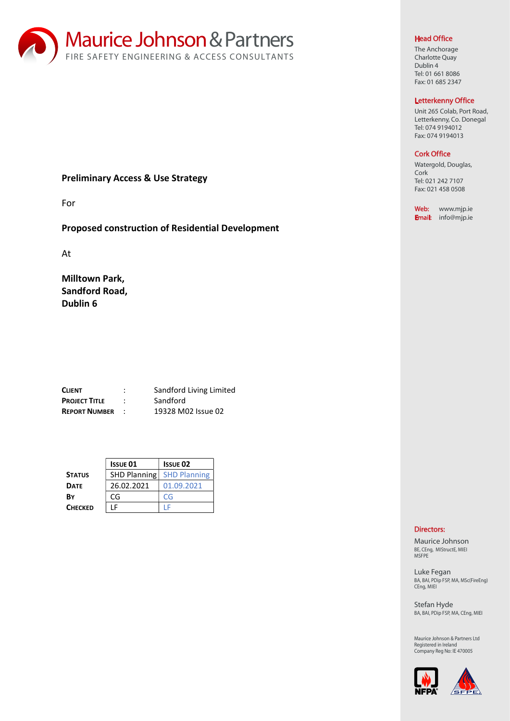

# Preliminary Access & Use Strategy

For

# Proposed construction of Residential Development

At

Milltown Park, Sandford Road, Dublin 6

| <b>CLIENT</b>        | ٠<br>٠ | Sandford Living Limited |
|----------------------|--------|-------------------------|
| <b>PROJECT TITLE</b> |        | Sandford                |
| <b>REPORT NUMBER</b> |        | 19328 M02 Issue 02      |

|                | <b>ISSUE 01</b>     | <b>ISSUE 02</b>     |
|----------------|---------------------|---------------------|
| <b>STATUS</b>  | <b>SHD Planning</b> | <b>SHD Planning</b> |
| <b>DATE</b>    | 26.02.2021          | 01.09.2021          |
| B٧             | CG                  | CG                  |
| <b>CHECKED</b> |                     |                     |

## Head Office

The Anchorage Charlotte Quay Dublin 4 Tel: 01 661 8086 Fax: 01 685 2347

### Letterkenny Office

Unit 265 Colab, Port Road, Letterkenny, Co. Donegal Tel: 074 9194012 Fax: 074 9194013

## Cork Office

Watergold, Douglas, Cork Tel: 021 242 7107 Fax: 021 458 0508

Web: www.mjp.ie Email: info@mjp.ie

# Directors:

Maurice Johnson BE, CEng, MIStructE, MIEI MSFPE

Luke Fegan BA, BAI, PDip FSP, MA, MSc(FireEng) CEng, MIEI

Stefan Hyde BA, BAI, PDip FSP, MA, CEng, MIEI

Registered in Ireland Company Reg No: IE 470005 Maurice Johnson & Partners Ltd

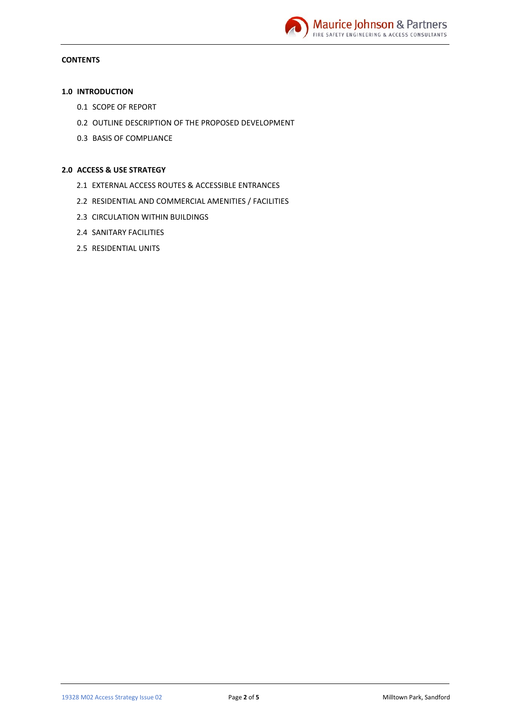

# **CONTENTS**

# 1.0 INTRODUCTION

- 0.1 SCOPE OF REPORT
- 0.2 OUTLINE DESCRIPTION OF THE PROPOSED DEVELOPMENT
- 0.3 BASIS OF COMPLIANCE

## 2.0 ACCESS & USE STRATEGY

- 2.1 EXTERNAL ACCESS ROUTES & ACCESSIBLE ENTRANCES
- 2.2 RESIDENTIAL AND COMMERCIAL AMENITIES / FACILITIES
- 2.3 CIRCULATION WITHIN BUILDINGS
- 2.4 SANITARY FACILITIES
- 2.5 RESIDENTIAL UNITS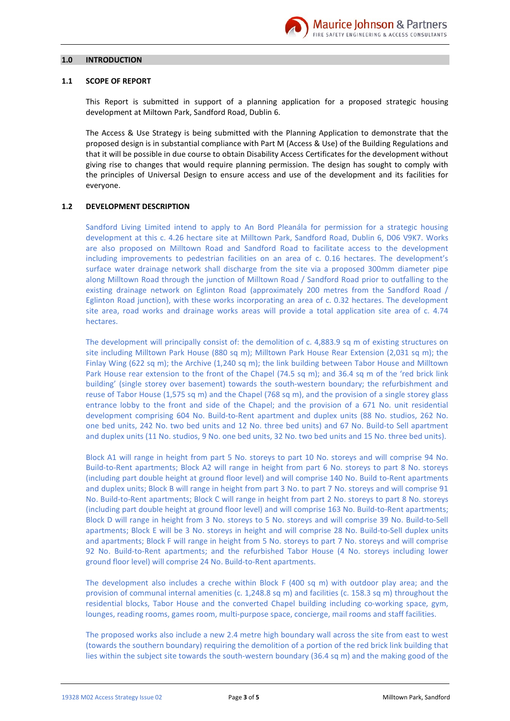

### $1.0$ **INTRODUCTION**

### **SCOPE OF REPORT**  $1.1$

This Report is submitted in support of a planning application for a proposed strategic housing development at Miltown Park, Sandford Road, Dublin 6.

The Access & Use Strategy is being submitted with the Planning Application to demonstrate that the proposed design is in substantial compliance with Part M (Access & Use) of the Building Regulations and that it will be possible in due course to obtain Disability Access Certificates for the development without giving rise to changes that would require planning permission. The design has sought to comply with the principles of Universal Design to ensure access and use of the development and its facilities for everyone.

#### $1.2$ **DEVELOPMENT DESCRIPTION**

Sandford Living Limited intend to apply to An Bord Pleanála for permission for a strategic housing development at this c. 4.26 hectare site at Milltown Park, Sandford Road, Dublin 6, D06 V9K7. Works are also proposed on Milltown Road and Sandford Road to facilitate access to the development including improvements to pedestrian facilities on an area of c. 0.16 hectares. The development's surface water drainage network shall discharge from the site via a proposed 300mm diameter pipe along Milltown Road through the junction of Milltown Road / Sandford Road prior to outfalling to the existing drainage network on Eglinton Road (approximately 200 metres from the Sandford Road / Eglinton Road junction), with these works incorporating an area of c. 0.32 hectares. The development site area, road works and drainage works areas will provide a total application site area of c. 4.74 hectares.

The development will principally consist of: the demolition of c. 4,883.9 sq m of existing structures on site including Milltown Park House (880 sq m); Milltown Park House Rear Extension (2,031 sq m); the Finlay Wing (622 sq m); the Archive (1,240 sq m); the link building between Tabor House and Milltown Park House rear extension to the front of the Chapel (74.5 sq m); and 36.4 sq m of the 'red brick link building' (single storey over basement) towards the south-western boundary; the refurbishment and reuse of Tabor House (1,575 sq m) and the Chapel (768 sq m), and the provision of a single storey glass entrance lobby to the front and side of the Chapel; and the provision of a 671 No. unit residential development comprising 604 No. Build-to-Rent apartment and duplex units (88 No. studios, 262 No. one bed units, 242 No. two bed units and 12 No. three bed units) and 67 No. Build-to Sell apartment and duplex units (11 No. studios, 9 No. one bed units, 32 No. two bed units and 15 No. three bed units).

Block A1 will range in height from part 5 No. storeys to part 10 No. storeys and will comprise 94 No. Build-to-Rent apartments; Block A2 will range in height from part 6 No. storeys to part 8 No. storeys (including part double height at ground floor level) and will comprise 140 No. Build to-Rent apartments and duplex units; Block B will range in height from part 3 No. to part 7 No. storeys and will comprise 91 No. Build-to-Rent apartments; Block C will range in height from part 2 No. storeys to part 8 No. storeys (including part double height at ground floor level) and will comprise 163 No. Build-to-Rent apartments; Block D will range in height from 3 No. storeys to 5 No. storeys and will comprise 39 No. Build-to-Sell apartments; Block E will be 3 No. storeys in height and will comprise 28 No. Build-to-Sell duplex units and apartments; Block F will range in height from 5 No. storeys to part 7 No. storeys and will comprise 92 No. Build-to-Rent apartments; and the refurbished Tabor House (4 No. storeys including lower ground floor level) will comprise 24 No. Build-to-Rent apartments.

The development also includes a creche within Block  $F(400 \text{ sq m})$  with outdoor play area; and the provision of communal internal amenities (c. 1,248.8 sq m) and facilities (c. 158.3 sq m) throughout the residential blocks, Tabor House and the converted Chapel building including co-working space, gym, lounges, reading rooms, games room, multi-purpose space, concierge, mail rooms and staff facilities.

The proposed works also include a new 2.4 metre high boundary wall across the site from east to west (towards the southern boundary) requiring the demolition of a portion of the red brick link building that lies within the subject site towards the south-western boundary (36.4 sq m) and the making good of the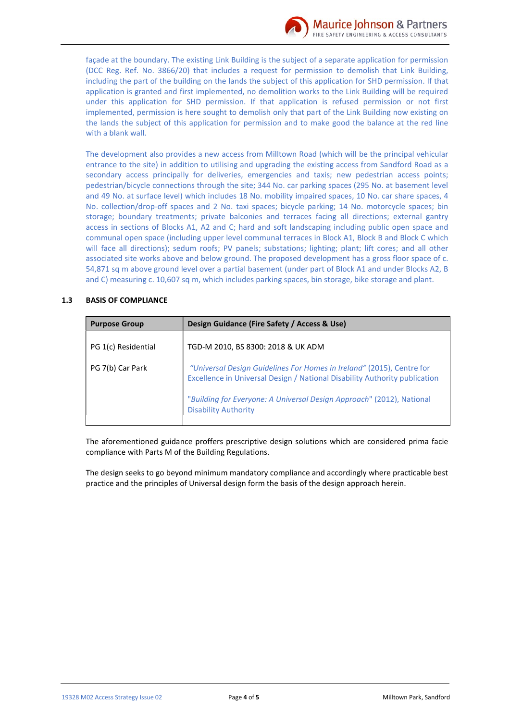

facade at the boundary. The existing Link Building is the subject of a separate application for permission (DCC Reg. Ref. No. 3866/20) that includes a request for permission to demolish that Link Building, including the part of the building on the lands the subject of this application for SHD permission. If that application is granted and first implemented, no demolition works to the Link Building will be required under this application for SHD permission. If that application is refused permission or not first implemented, permission is here sought to demolish only that part of the Link Building now existing on the lands the subject of this application for permission and to make good the balance at the red line with a blank wall.

The development also provides a new access from Milltown Road (which will be the principal vehicular entrance to the site) in addition to utilising and upgrading the existing access from Sandford Road as a secondary access principally for deliveries, emergencies and taxis; new pedestrian access points; pedestrian/bicycle connections through the site; 344 No. car parking spaces (295 No. at basement level and 49 No. at surface level) which includes 18 No. mobility impaired spaces, 10 No. car share spaces, 4 No. collection/drop-off spaces and 2 No. taxi spaces; bicycle parking; 14 No. motorcycle spaces; bin storage; boundary treatments; private balconies and terraces facing all directions; external gantry access in sections of Blocks A1, A2 and C; hard and soft landscaping including public open space and communal open space (including upper level communal terraces in Block A1, Block B and Block C which will face all directions); sedum roofs; PV panels; substations; lighting; plant; lift cores; and all other associated site works above and below ground. The proposed development has a gross floor space of c. 54.871 sq m above ground level over a partial basement (under part of Block A1 and under Blocks A2, B and C) measuring c. 10,607 sq m, which includes parking spaces, bin storage, bike storage and plant.

### $1.3$ **BASIS OF COMPLIANCE**

| <b>Purpose Group</b> | Design Guidance (Fire Safety / Access & Use)                                                                                                        |  |  |
|----------------------|-----------------------------------------------------------------------------------------------------------------------------------------------------|--|--|
| PG 1(c) Residential  | TGD-M 2010, BS 8300: 2018 & UK ADM                                                                                                                  |  |  |
| PG 7(b) Car Park     | "Universal Design Guidelines For Homes in Ireland" (2015), Centre for<br>Excellence in Universal Design / National Disability Authority publication |  |  |
|                      | "Building for Everyone: A Universal Design Approach" (2012), National<br><b>Disability Authority</b>                                                |  |  |

The aforementioned guidance proffers prescriptive design solutions which are considered prima facie compliance with Parts M of the Building Regulations.

The design seeks to go beyond minimum mandatory compliance and accordingly where practicable best practice and the principles of Universal design form the basis of the design approach herein.